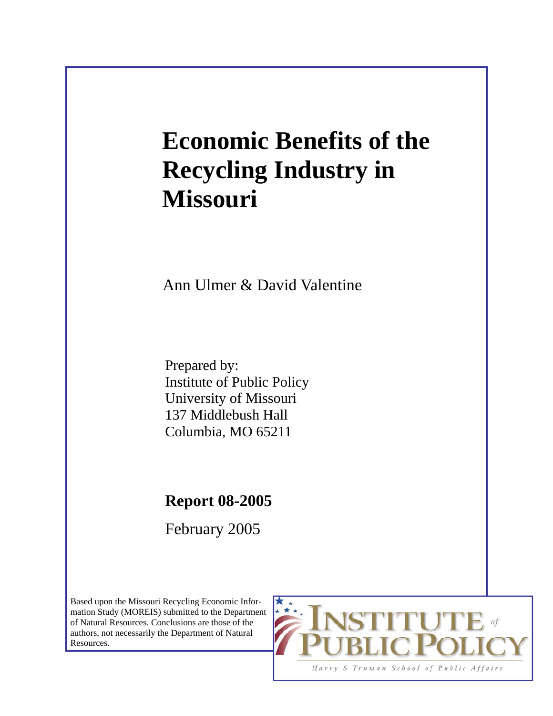# **Economic Benefits of the Recycling Industry in Missouri**

Ann Ulmer & David Valentine

Prepared by: Institute of Public Policy University of Missouri 137 Middlebush Hall Columbia, MO 65211

**Report 08-2005** 

February 2005

Based upon the Missouri Recycling Economic Information Study (MOREIS) submitted to the Department of Natural Resources. Conclusions are those of the authors, not necessarily the Department of Natural Resources.

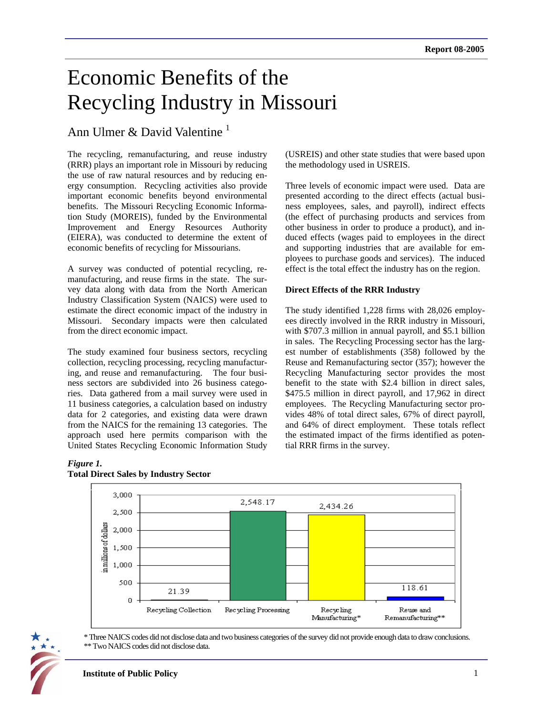# Economic Benefits of the Recycling Industry in Missouri

# Ann Ulmer & David Valentine  $<sup>1</sup>$ </sup>

The recycling, remanufacturing, and reuse industry (RRR) plays an important role in Missouri by reducing the use of raw natural resources and by reducing energy consumption. Recycling activities also provide important economic benefits beyond environmental benefits. The Missouri Recycling Economic Information Study (MOREIS), funded by the Environmental Improvement and Energy Resources Authority (EIERA), was conducted to determine the extent of economic benefits of recycling for Missourians.

A survey was conducted of potential recycling, remanufacturing, and reuse firms in the state. The survey data along with data from the North American Industry Classification System (NAICS) were used to estimate the direct economic impact of the industry in Missouri. Secondary impacts were then calculated from the direct economic impact.

The study examined four business sectors, recycling collection, recycling processing, recycling manufacturing, and reuse and remanufacturing. The four business sectors are subdivided into 26 business categories. Data gathered from a mail survey were used in 11 business categories, a calculation based on industry data for 2 categories, and existing data were drawn from the NAICS for the remaining 13 categories. The approach used here permits comparison with the United States Recycling Economic Information Study (USREIS) and other state studies that were based upon the methodology used in USREIS.

Three levels of economic impact were used. Data are presented according to the direct effects (actual business employees, sales, and payroll), indirect effects (the effect of purchasing products and services from other business in order to produce a product), and induced effects (wages paid to employees in the direct and supporting industries that are available for employees to purchase goods and services). The induced effect is the total effect the industry has on the region.

#### **Direct Effects of the RRR Industry**

The study identified 1,228 firms with 28,026 employees directly involved in the RRR industry in Missouri, with \$707.3 million in annual payroll, and \$5.1 billion in sales. The Recycling Processing sector has the largest number of establishments (358) followed by the Reuse and Remanufacturing sector (357); however the Recycling Manufacturing sector provides the most benefit to the state with \$2.4 billion in direct sales, \$475.5 million in direct payroll, and 17,962 in direct employees. The Recycling Manufacturing sector provides 48% of total direct sales, 67% of direct payroll, and 64% of direct employment. These totals reflect the estimated impact of the firms identified as potential RRR firms in the survey.

#### *Figure 1.*



#### **Total Direct Sales by Industry Sector**



<sup>\*</sup> Three NAICS codes did not disclose data and two business categories of the survey did not provide enough data to draw conclusions. \*\* Two NAICS codes did not disclose data.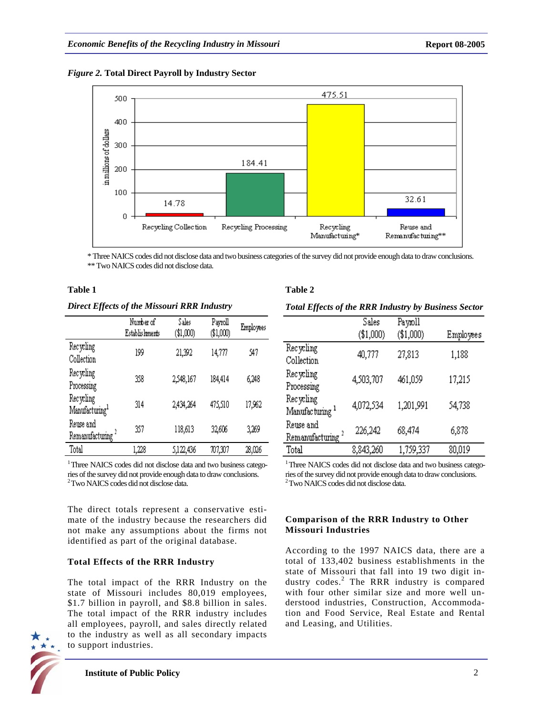



\* Three NAICS codes did not disclose data and two business categories of the survey did not provide enough data to draw conclusions. \*\* Two NAICS codes did not disclose data.

#### **Table 1**

*Direct Effects of the Missouri RRR Industry* 

|                                             | Number of<br>Establis hments | Sales<br>(\$1,000) | Payroll<br>\$1,000 | Employees |
|---------------------------------------------|------------------------------|--------------------|--------------------|-----------|
| Recycling<br>Collection                     | 199                          | 21,392             | 14,777             | 547       |
| Recycling<br>Processing                     | 358                          | 2,548,167          | 184,414            | 6,248     |
| Recycling<br>$\mathbf{M}$ anufacturing $^1$ | 314                          | 2,434,264          | 475,510            | 17,962    |
| Reuse and<br>$R$ emanufacturing $^2$        | 357                          | 118,613            | 32,606             | 3,269     |
| Total                                       | 1,228                        | 5,122,436          | 707,307            | 28,026    |

<sup>1</sup> Three NAICS codes did not disclose data and two business categories of the survey did not provide enough data to draw conclusions. 2 Two NAICS codes did not disclose data.

The direct totals represent a conservative estimate of the industry because the researchers did not make any assumptions about the firms not identified as part of the original database.

# **Total Effects of the RRR Industry**

The total impact of the RRR Industry on the state of Missouri includes 80,019 employees, \$1.7 billion in payroll, and \$8.8 billion in sales. The total impact of the RRR industry includes all employees, payroll, and sales directly related to the industry as well as all secondary impacts to support industries.

# **Table 2**

*Total Effects of the RRR Industry by Business Sector*

|                                           | Sales     | Paymoll   |           |
|-------------------------------------------|-----------|-----------|-----------|
|                                           | (\$1,000) | (\$1,000) | Employees |
| Recycling<br>Collection                   | 40,777    | 27,813    | 1,188     |
| Recycling<br>Processing                   | 4,503,707 | 461,059   | 17,215    |
| Recycling<br>Manufacturing <sup>1</sup>   | 4,072,534 | 1,201,991 | 54,738    |
| Reuse and<br>Remanufacturing <sup>2</sup> | 226,242   | 68,474    | 6,878     |
| Total                                     | 8,843,260 | 1,759,337 | 80,019    |

<sup>1</sup> Three NAICS codes did not disclose data and two business categories of the survey did not provide enough data to draw conclusions. 2 Two NAICS codes did not disclose data.

#### **Comparison of the RRR Industry to Other Missouri Industries**

According to the 1997 NAICS data, there are a total of 133,402 business establishments in the state of Missouri that fall into 19 two digit industry codes.<sup>2</sup> The RRR industry is compared with four other similar size and more well understood industries, Construction, Accommodation and Food Service, Real Estate and Rental and Leasing, and Utilities.

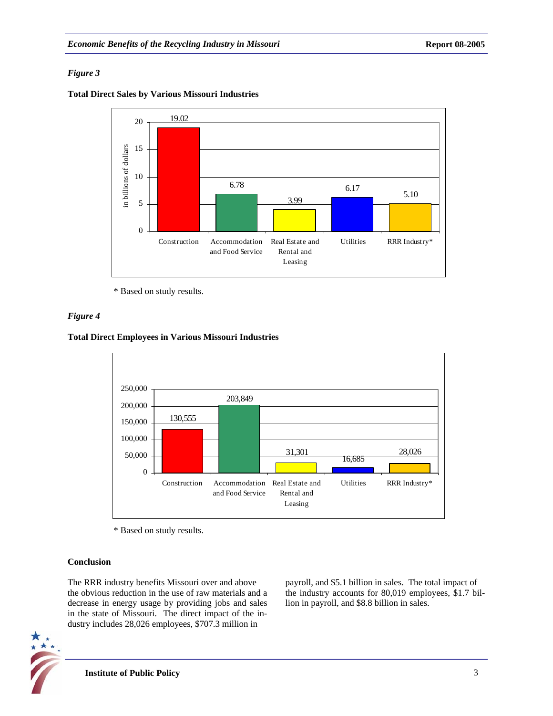# *Figure 3*

**Total Direct Sales by Various Missouri Industries** 



\* Based on study results.

# *Figure 4*

#### **Total Direct Employees in Various Missouri Industries**



\* Based on study results.

# **Conclusion**

The RRR industry benefits Missouri over and above the obvious reduction in the use of raw materials and a decrease in energy usage by providing jobs and sales in the state of Missouri. The direct impact of the industry includes 28,026 employees, \$707.3 million in

payroll, and \$5.1 billion in sales. The total impact of the industry accounts for 80,019 employees, \$1.7 billion in payroll, and \$8.8 billion in sales.